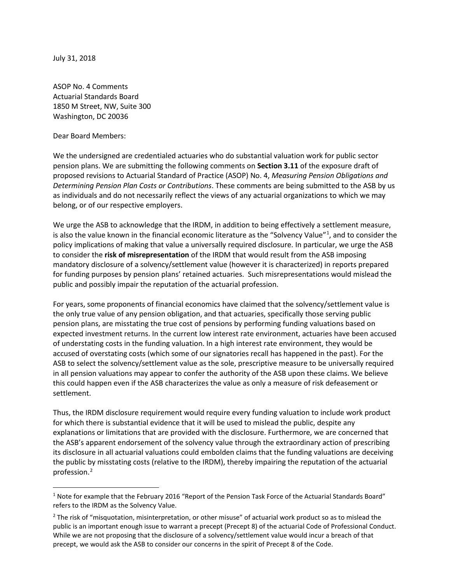July 31, 2018

ASOP No. 4 Comments Actuarial Standards Board 1850 M Street, NW, Suite 300 Washington, DC 20036

Dear Board Members:

We the undersigned are credentialed actuaries who do substantial valuation work for public sector pension plans. We are submitting the following comments on **Section 3.11** of the exposure draft of proposed revisions to Actuarial Standard of Practice (ASOP) No. 4, *Measuring Pension Obligations and Determining Pension Plan Costs or Contributions*. These comments are being submitted to the ASB by us as individuals and do not necessarily reflect the views of any actuarial organizations to which we may belong, or of our respective employers.

We urge the ASB to acknowledge that the IRDM, in addition to being effectively a settlement measure, is also the value known in the financial economic literature as the "Solvency Value"<sup>[1](#page-0-0)</sup>, and to consider the policy implications of making that value a universally required disclosure. In particular, we urge the ASB to consider the **risk of misrepresentation** of the IRDM that would result from the ASB imposing mandatory disclosure of a solvency/settlement value (however it is characterized) in reports prepared for funding purposes by pension plans' retained actuaries. Such misrepresentations would mislead the public and possibly impair the reputation of the actuarial profession.

For years, some proponents of financial economics have claimed that the solvency/settlement value is the only true value of any pension obligation, and that actuaries, specifically those serving public pension plans, are misstating the true cost of pensions by performing funding valuations based on expected investment returns. In the current low interest rate environment, actuaries have been accused of understating costs in the funding valuation. In a high interest rate environment, they would be accused of overstating costs (which some of our signatories recall has happened in the past). For the ASB to select the solvency/settlement value as the sole, prescriptive measure to be universally required in all pension valuations may appear to confer the authority of the ASB upon these claims. We believe this could happen even if the ASB characterizes the value as only a measure of risk defeasement or settlement.

Thus, the IRDM disclosure requirement would require every funding valuation to include work product for which there is substantial evidence that it will be used to mislead the public, despite any explanations or limitations that are provided with the disclosure. Furthermore, we are concerned that the ASB's apparent endorsement of the solvency value through the extraordinary action of prescribing its disclosure in all actuarial valuations could embolden claims that the funding valuations are deceiving the public by misstating costs (relative to the IRDM), thereby impairing the reputation of the actuarial profession. [2](#page-0-1)

<span id="page-0-0"></span><sup>&</sup>lt;sup>1</sup> Note for example that the February 2016 "Report of the Pension Task Force of the Actuarial Standards Board" refers to the IRDM as the Solvency Value.

<span id="page-0-1"></span> $<sup>2</sup>$  The risk of "misquotation, misinterpretation, or other misuse" of actuarial work product so as to mislead the</sup> public is an important enough issue to warrant a precept (Precept 8) of the actuarial Code of Professional Conduct. While we are not proposing that the disclosure of a solvency/settlement value would incur a breach of that precept, we would ask the ASB to consider our concerns in the spirit of Precept 8 of the Code.